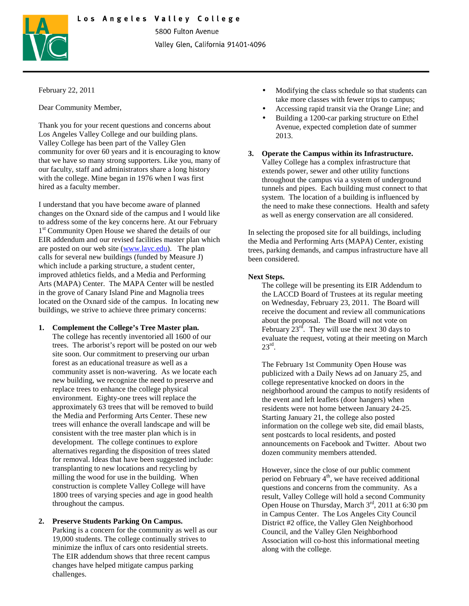# Los Angeles Valley College



5800 Fulton Avenue Valley Glen, California 91401-4096

### February 22, 2011

Dear Community Member,

Thank you for your recent questions and concerns about Los Angeles Valley College and our building plans. Valley College has been part of the Valley Glen community for over 60 years and it is encouraging to know that we have so many strong supporters. Like you, many of our faculty, staff and administrators share a long history with the college. Mine began in 1976 when I was first hired as a faculty member.

I understand that you have become aware of planned changes on the Oxnard side of the campus and I would like to address some of the key concerns here. At our February 1<sup>st</sup> Community Open House we shared the details of our EIR addendum and our revised facilities master plan which are posted on our web site (www.lavc.edu). The plan calls for several new buildings (funded by Measure J) which include a parking structure, a student center, improved athletics fields, and a Media and Performing Arts (MAPA) Center. The MAPA Center will be nestled in the grove of Canary Island Pine and Magnolia trees located on the Oxnard side of the campus. In locating new buildings, we strive to achieve three primary concerns:

### **1. Complement the College's Tree Master plan.**

The college has recently inventoried all 1600 of our trees. The arborist's report will be posted on our web site soon. Our commitment to preserving our urban forest as an educational treasure as well as a community asset is non-wavering. As we locate each new building, we recognize the need to preserve and replace trees to enhance the college physical environment. Eighty-one trees will replace the approximately 63 trees that will be removed to build the Media and Performing Arts Center. These new trees will enhance the overall landscape and will be consistent with the tree master plan which is in development. The college continues to explore alternatives regarding the disposition of trees slated for removal. Ideas that have been suggested include: transplanting to new locations and recycling by milling the wood for use in the building. When construction is complete Valley College will have 1800 trees of varying species and age in good health throughout the campus.

## **2. Preserve Students Parking On Campus.**

Parking is a concern for the community as well as our 19,000 students. The college continually strives to minimize the influx of cars onto residential streets. The EIR addendum shows that three recent campus changes have helped mitigate campus parking challenges.

- Modifying the class schedule so that students can take more classes with fewer trips to campus;
- Accessing rapid transit via the Orange Line; and
- Building a 1200-car parking structure on Ethel Avenue, expected completion date of summer 2013.
- **3. Operate the Campus within its Infrastructure.**  Valley College has a complex infrastructure that extends power, sewer and other utility functions throughout the campus via a system of underground tunnels and pipes. Each building must connect to that system. The location of a building is influenced by the need to make these connections. Health and safety as well as energy conservation are all considered.

In selecting the proposed site for all buildings, including the Media and Performing Arts (MAPA) Center, existing trees, parking demands, and campus infrastructure have all been considered.

#### **Next Steps.**

The college will be presenting its EIR Addendum to the LACCD Board of Trustees at its regular meeting on Wednesday, February 23, 2011. The Board will receive the document and review all communications about the proposal. The Board will not vote on February  $23^{rd}$ . They will use the next 30 days to evaluate the request, voting at their meeting on March  $23^{\text{rd}}$ .

The February 1st Community Open House was publicized with a Daily News ad on January 25, and college representative knocked on doors in the neighborhood around the campus to notify residents of the event and left leaflets (door hangers) when residents were not home between January 24-25. Starting January 21, the college also posted information on the college web site, did email blasts, sent postcards to local residents, and posted announcements on Facebook and Twitter. About two dozen community members attended.

However, since the close of our public comment period on February  $4<sup>th</sup>$ , we have received additional questions and concerns from the community. As a result, Valley College will hold a second Community Open House on Thursday, March 3<sup>rd</sup>, 2011 at 6:30 pm in Campus Center. The Los Angeles City Council District #2 office, the Valley Glen Neighborhood Council, and the Valley Glen Neighborhood Association will co-host this informational meeting along with the college.